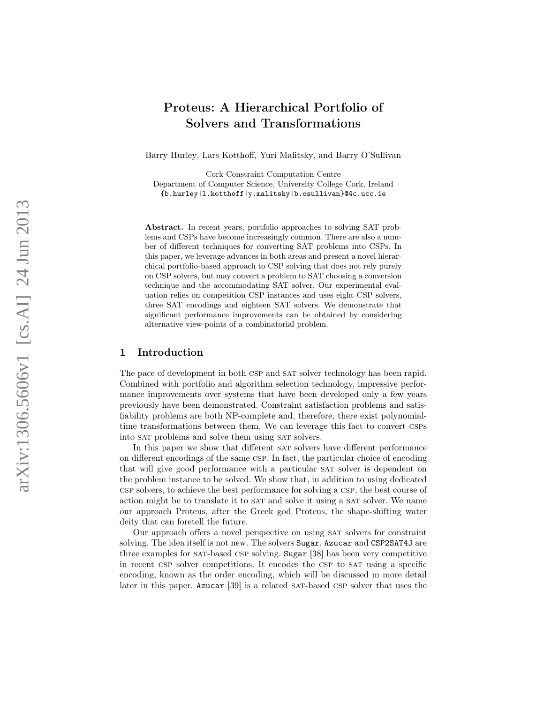# Proteus: A Hierarchical Portfolio of Solvers and Transformations

Barry Hurley, Lars Kotthoff, Yuri Malitsky, and Barry O'Sullivan

Cork Constraint Computation Centre Department of Computer Science, University College Cork, Ireland {b.hurley|l.kotthoff|y.malitsky|b.osullivan}@4c.ucc.ie

Abstract. In recent years, portfolio approaches to solving SAT problems and CSPs have become increasingly common. There are also a number of different techniques for converting SAT problems into CSPs. In this paper, we leverage advances in both areas and present a novel hierarchical portfolio-based approach to CSP solving that does not rely purely on CSP solvers, but may convert a problem to SAT choosing a conversion technique and the accommodating SAT solver. Our experimental evaluation relies on competition CSP instances and uses eight CSP solvers, three SAT encodings and eighteen SAT solvers. We demonstrate that significant performance improvements can be obtained by considering alternative view-points of a combinatorial problem.

# 1 Introduction

The pace of development in both CSP and SAT solver technology has been rapid. Combined with portfolio and algorithm selection technology, impressive performance improvements over systems that have been developed only a few years previously have been demonstrated. Constraint satisfaction problems and satisfiability problems are both NP-complete and, therefore, there exist polynomialtime transformations between them. We can leverage this fact to convert csps into sat problems and solve them using sat solvers.

In this paper we show that different sate solvers have different performance on different encodings of the same csp. In fact, the particular choice of encoding that will give good performance with a particular SAT solver is dependent on the problem instance to be solved. We show that, in addition to using dedicated csp solvers, to achieve the best performance for solving a csp, the best course of action might be to translate it to sate and solve it using a sate solver. We name our approach Proteus, after the Greek god Proteus, the shape-shifting water deity that can foretell the future.

Our approach offers a novel perspective on using sat solvers for constraint solving. The idea itself is not new. The solvers Sugar , Azucar and CSP2SAT4J are three examples for sat-based csp solving. Sugar [\[38\]](#page-16-0) has been very competitive in recent csp solver competitions. It encodes the csp to sat using a specific encoding, known as the order encoding, which will be discussed in more detail later in this paper. Azucar [\[39\]](#page-16-1) is a related SAT-based CSP solver that uses the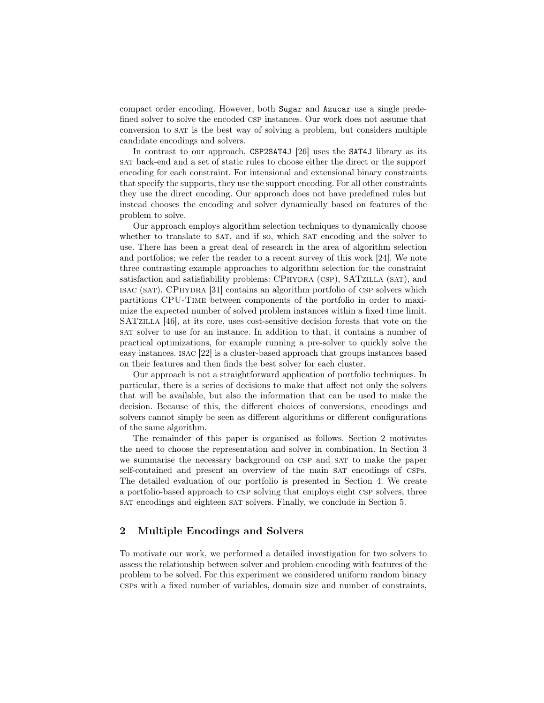compact order encoding. However, both Sugar and Azucar use a single predefined solver to solve the encoded csp instances. Our work does not assume that conversion to sat is the best way of solving a problem, but considers multiple candidate encodings and solvers.

In contrast to our approach, CSP2SAT4J [\[26\]](#page-16-2) uses the SAT4J library as its sat back-end and a set of static rules to choose either the direct or the support encoding for each constraint. For intensional and extensional binary constraints that specify the supports, they use the support encoding. For all other constraints they use the direct encoding. Our approach does not have predefined rules but instead chooses the encoding and solver dynamically based on features of the problem to solve.

Our approach employs algorithm selection techniques to dynamically choose whether to translate to SAT, and if so, which SAT encoding and the solver to use. There has been a great deal of research in the area of algorithm selection and portfolios; we refer the reader to a recent survey of this work [\[24\]](#page-16-3). We note three contrasting example approaches to algorithm selection for the constraint satisfaction and satisfiability problems: CPHYDRA (CSP), SATZILLA (SAT), and isac (sat). CPhydra [\[31\]](#page-16-4) contains an algorithm portfolio of csp solvers which partitions CPU-Time between components of the portfolio in order to maximize the expected number of solved problem instances within a fixed time limit. SATzilla [\[46\]](#page-16-5), at its core, uses cost-sensitive decision forests that vote on the sat solver to use for an instance. In addition to that, it contains a number of practical optimizations, for example running a pre-solver to quickly solve the easy instances. isac [\[22\]](#page-15-0) is a cluster-based approach that groups instances based on their features and then finds the best solver for each cluster.

Our approach is not a straightforward application of portfolio techniques. In particular, there is a series of decisions to make that affect not only the solvers that will be available, but also the information that can be used to make the decision. Because of this, the different choices of conversions, encodings and solvers cannot simply be seen as different algorithms or different configurations of the same algorithm.

The remainder of this paper is organised as follows. Section [2](#page-1-0) motivates the need to choose the representation and solver in combination. In Section [3](#page-3-0) we summarise the necessary background on CSP and SAT to make the paper self-contained and present an overview of the main SAT encodings of CSPs. The detailed evaluation of our portfolio is presented in Section [4.](#page-9-0) We create a portfolio-based approach to csp solving that employs eight csp solvers, three sat encodings and eighteen sat solvers. Finally, we conclude in Section [5.](#page-14-0)

# <span id="page-1-0"></span>2 Multiple Encodings and Solvers

To motivate our work, we performed a detailed investigation for two solvers to assess the relationship between solver and problem encoding with features of the problem to be solved. For this experiment we considered uniform random binary csps with a fixed number of variables, domain size and number of constraints,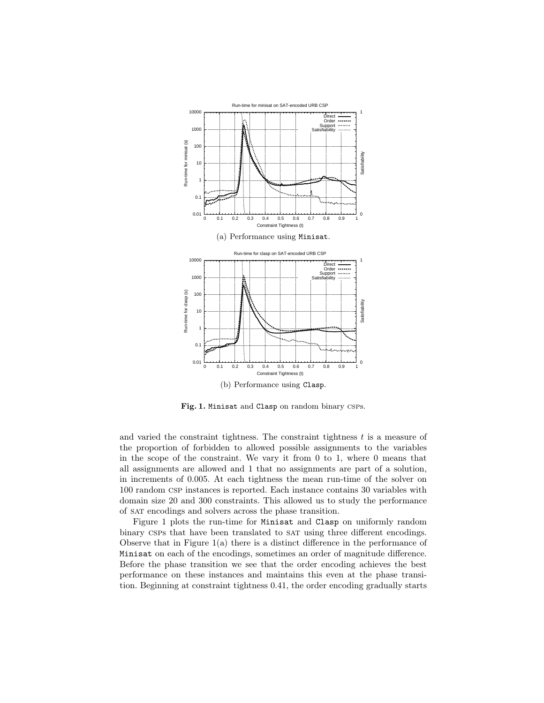<span id="page-2-1"></span><span id="page-2-0"></span>

<span id="page-2-2"></span>Fig. 1. Minisat and Clasp on random binary csps.

and varied the constraint tightness. The constraint tightness  $t$  is a measure of the proportion of forbidden to allowed possible assignments to the variables in the scope of the constraint. We vary it from 0 to 1, where 0 means that all assignments are allowed and 1 that no assignments are part of a solution, in increments of 0.005. At each tightness the mean run-time of the solver on 100 random csp instances is reported. Each instance contains 30 variables with domain size 20 and 300 constraints. This allowed us to study the performance of sat encodings and solvers across the phase transition.

Figure [1](#page-2-0) plots the run-time for Minisat and Clasp on uniformly random binary CSPs that have been translated to SAT using three different encodings. Observe that in Figure  $1(a)$  there is a distinct difference in the performance of Minisat on each of the encodings, sometimes an order of magnitude difference. Before the phase transition we see that the order encoding achieves the best performance on these instances and maintains this even at the phase transition. Beginning at constraint tightness 0.41, the order encoding gradually starts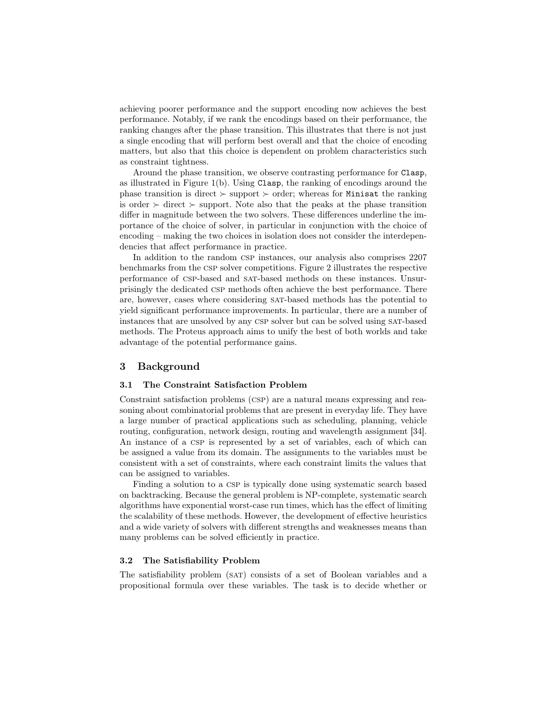achieving poorer performance and the support encoding now achieves the best performance. Notably, if we rank the encodings based on their performance, the ranking changes after the phase transition. This illustrates that there is not just a single encoding that will perform best overall and that the choice of encoding matters, but also that this choice is dependent on problem characteristics such as constraint tightness.

Around the phase transition, we observe contrasting performance for Clasp, as illustrated in Figure [1\(b\).](#page-2-2) Using Clasp, the ranking of encodings around the phase transition is direct  $\succ$  support  $\succ$  order; whereas for Minisat the ranking is order  $\succ$  direct  $\succ$  support. Note also that the peaks at the phase transition differ in magnitude between the two solvers. These differences underline the importance of the choice of solver, in particular in conjunction with the choice of encoding – making the two choices in isolation does not consider the interdependencies that affect performance in practice.

In addition to the random csp instances, our analysis also comprises 2207 benchmarks from the csp solver competitions. Figure [2](#page-4-0) illustrates the respective performance of csp-based and sat-based methods on these instances. Unsurprisingly the dedicated csp methods often achieve the best performance. There are, however, cases where considering sat-based methods has the potential to yield significant performance improvements. In particular, there are a number of instances that are unsolved by any csp solver but can be solved using sat-based methods. The Proteus approach aims to unify the best of both worlds and take advantage of the potential performance gains.

## <span id="page-3-0"></span>3 Background

## 3.1 The Constraint Satisfaction Problem

Constraint satisfaction problems (csp) are a natural means expressing and reasoning about combinatorial problems that are present in everyday life. They have a large number of practical applications such as scheduling, planning, vehicle routing, configuration, network design, routing and wavelength assignment [\[34\]](#page-16-6). An instance of a csp is represented by a set of variables, each of which can be assigned a value from its domain. The assignments to the variables must be consistent with a set of constraints, where each constraint limits the values that can be assigned to variables.

Finding a solution to a csp is typically done using systematic search based on backtracking. Because the general problem is NP-complete, systematic search algorithms have exponential worst-case run times, which has the effect of limiting the scalability of these methods. However, the development of effective heuristics and a wide variety of solvers with different strengths and weaknesses means than many problems can be solved efficiently in practice.

## 3.2 The Satisfiability Problem

The satisfiability problem (SAT) consists of a set of Boolean variables and a propositional formula over these variables. The task is to decide whether or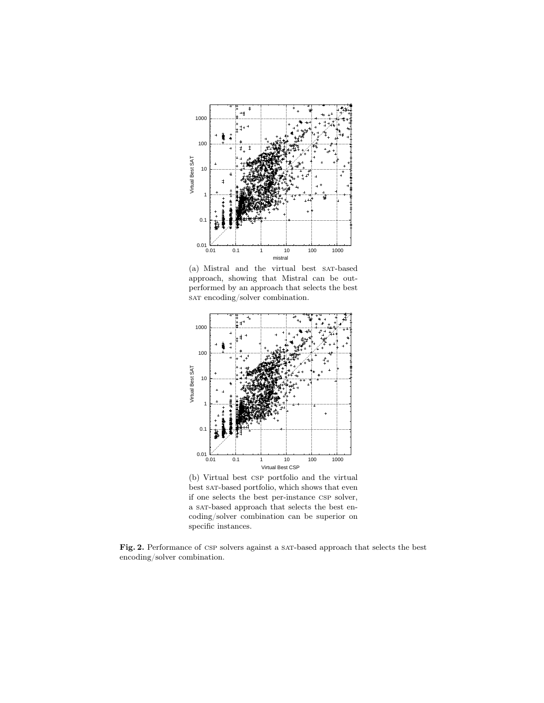<span id="page-4-0"></span>

(a) Mistral and the virtual best sat-based approach, showing that Mistral can be outperformed by an approach that selects the best sat encoding/solver combination.



(b) Virtual best csp portfolio and the virtual best sat-based portfolio, which shows that even if one selects the best per-instance csp solver, a sat-based approach that selects the best encoding/solver combination can be superior on specific instances.

Fig. 2. Performance of CSP solvers against a SAT-based approach that selects the best encoding/solver combination.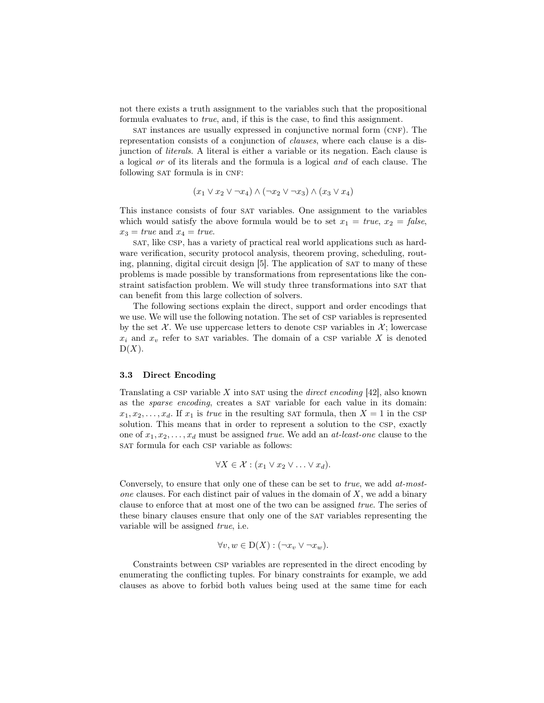not there exists a truth assignment to the variables such that the propositional formula evaluates to true, and, if this is the case, to find this assignment.

sat instances are usually expressed in conjunctive normal form (CNF). The representation consists of a conjunction of *clauses*, where each clause is a disjunction of literals. A literal is either a variable or its negation. Each clause is a logical or of its literals and the formula is a logical and of each clause. The following SAT formula is in CNF:

$$
(x_1 \vee x_2 \vee \neg x_4) \wedge (\neg x_2 \vee \neg x_3) \wedge (x_3 \vee x_4)
$$

This instance consists of four SAT variables. One assignment to the variables which would satisfy the above formula would be to set  $x_1 = true, x_2 = false$ ,  $x_3 = true$  and  $x_4 = true$ .

sat, like csp, has a variety of practical real world applications such as hardware verification, security protocol analysis, theorem proving, scheduling, rout-ing, planning, digital circuit design [\[5\]](#page-15-1). The application of SAT to many of these problems is made possible by transformations from representations like the constraint satisfaction problem. We will study three transformations into SAT that can benefit from this large collection of solvers.

The following sections explain the direct, support and order encodings that we use. We will use the following notation. The set of csp variables is represented by the set  $\mathcal{X}$ . We use uppercase letters to denote CSP variables in  $\mathcal{X}$ ; lowercase  $x_i$  and  $x_v$  refer to sat variables. The domain of a CSP variable X is denoted  $D(X)$ .

#### 3.3 Direct Encoding

Translating a CSP variable X into SAT using the *direct encoding* [\[42\]](#page-16-7), also known as the *sparse encoding*, creates a SAT variable for each value in its domain:  $x_1, x_2, \ldots, x_d$ . If  $x_1$  is true in the resulting SAT formula, then  $X = 1$  in the CSP solution. This means that in order to represent a solution to the CSP, exactly one of  $x_1, x_2, \ldots, x_d$  must be assigned true. We add an *at-least-one* clause to the sat formula for each csp variable as follows:

$$
\forall X \in \mathcal{X} : (x_1 \vee x_2 \vee \ldots \vee x_d).
$$

Conversely, to ensure that only one of these can be set to true, we add at-mostone clauses. For each distinct pair of values in the domain of  $X$ , we add a binary clause to enforce that at most one of the two can be assigned true. The series of these binary clauses ensure that only one of the sat variables representing the variable will be assigned true, i.e.

$$
\forall v, w \in D(X) : (\neg x_v \lor \neg x_w).
$$

Constraints between csp variables are represented in the direct encoding by enumerating the conflicting tuples. For binary constraints for example, we add clauses as above to forbid both values being used at the same time for each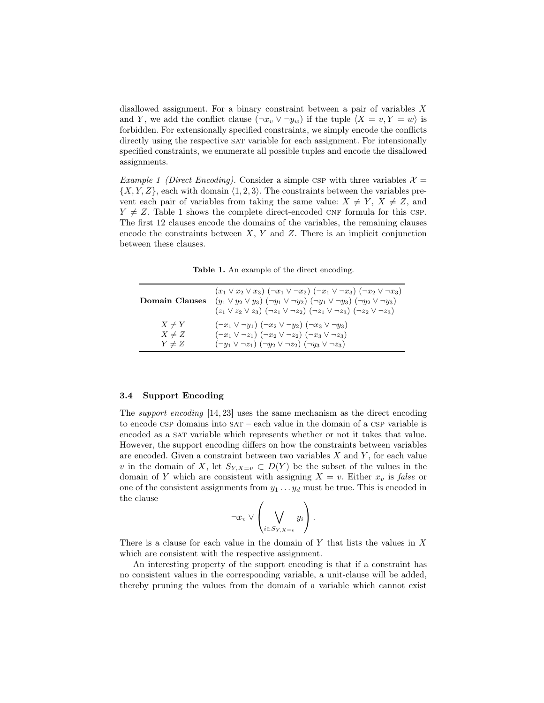disallowed assignment. For a binary constraint between a pair of variables X and Y, we add the conflict clause  $(\neg x_v \lor \neg y_w)$  if the tuple  $\langle X = v, Y = w \rangle$  is forbidden. For extensionally specified constraints, we simply encode the conflicts directly using the respective SAT variable for each assignment. For intensionally specified constraints, we enumerate all possible tuples and encode the disallowed assignments.

<span id="page-6-1"></span>Example 1 (Direct Encoding). Consider a simple CSP with three variables  $\mathcal{X} =$  $\{X, Y, Z\}$ , each with domain  $\langle 1, 2, 3 \rangle$ . The constraints between the variables prevent each pair of variables from taking the same value:  $X \neq Y$ ,  $X \neq Z$ , and  $Y \neq Z$ . Table [1](#page-6-0) shows the complete direct-encoded CNF formula for this CSP. The first 12 clauses encode the domains of the variables, the remaining clauses encode the constraints between  $X, Y$  and  $Z$ . There is an implicit conjunction between these clauses.

Table 1. An example of the direct encoding.

<span id="page-6-0"></span>

| Domain Clauses | $(x_1 \vee x_2 \vee x_3) \cdot (\neg x_1 \vee \neg x_2) \cdot (\neg x_1 \vee \neg x_3) \cdot (\neg x_2 \vee \neg x_3)$<br>$(y_1 \vee y_2 \vee y_3)$ $(\neg y_1 \vee \neg y_2)$ $(\neg y_1 \vee \neg y_3)$ $(\neg y_2 \vee \neg y_3)$<br>$(z_1 \vee z_2 \vee z_3) (\neg z_1 \vee \neg z_2) (\neg z_1 \vee \neg z_3) (\neg z_2 \vee \neg z_3)$ |
|----------------|----------------------------------------------------------------------------------------------------------------------------------------------------------------------------------------------------------------------------------------------------------------------------------------------------------------------------------------------|
| $X \neq Y$     | $(\neg x_1 \vee \neg y_1) (\neg x_2 \vee \neg y_2) (\neg x_3 \vee \neg y_3)$                                                                                                                                                                                                                                                                 |
| $X \neq Z$     | $(\neg x_1 \vee \neg z_1) (\neg x_2 \vee \neg z_2) (\neg x_3 \vee \neg z_3)$                                                                                                                                                                                                                                                                 |
| $Y \neq Z$     | $(\neg y_1 \vee \neg z_1) \cdot (\neg y_2 \vee \neg z_2) \cdot (\neg y_3 \vee \neg z_3)$                                                                                                                                                                                                                                                     |

## 3.4 Support Encoding

The support encoding [\[14,](#page-15-2) [23\]](#page-15-3) uses the same mechanism as the direct encoding to encode csp domains into sat – each value in the domain of a csp variable is encoded as a SAT variable which represents whether or not it takes that value. However, the support encoding differs on how the constraints between variables are encoded. Given a constraint between two variables  $X$  and  $Y$ , for each value v in the domain of X, let  $S_{Y,X=v} \subset D(Y)$  be the subset of the values in the domain of Y which are consistent with assigning  $X = v$ . Either  $x_v$  is false or one of the consistent assignments from  $y_1 \ldots y_d$  must be true. This is encoded in the clause

$$
\neg x_v \vee \left(\bigvee_{i \in S_{Y,X=v}} y_i\right).
$$

There is a clause for each value in the domain of Y that lists the values in X which are consistent with the respective assignment.

An interesting property of the support encoding is that if a constraint has no consistent values in the corresponding variable, a unit-clause will be added, thereby pruning the values from the domain of a variable which cannot exist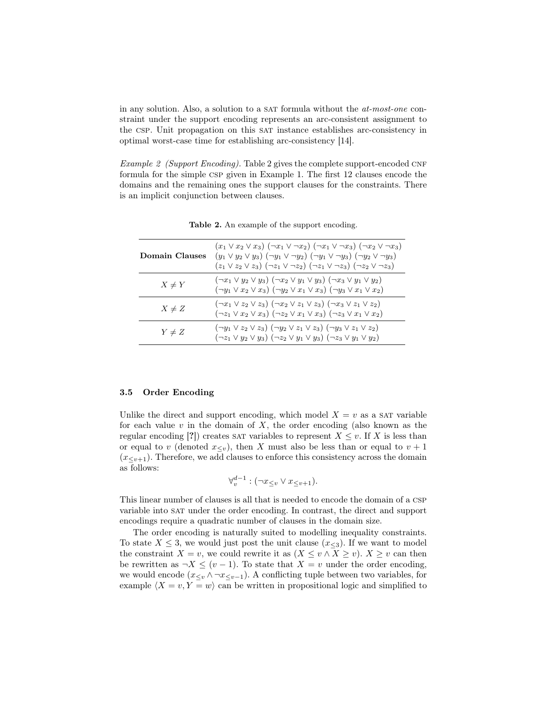in any solution. Also, a solution to a sart formula without the  $at-most-one$  constraint under the support encoding represents an arc-consistent assignment to the CSP. Unit propagation on this SAT instance establishes arc-consistency in optimal worst-case time for establishing arc-consistency [\[14\]](#page-15-2).

Example [2](#page-7-0) (Support Encoding). Table 2 gives the complete support-encoded CNF formula for the simple csp given in Example [1.](#page-6-1) The first 12 clauses encode the domains and the remaining ones the support clauses for the constraints. There is an implicit conjunction between clauses.

<span id="page-7-0"></span>

| <b>Domain Clauses</b> | $(x_1 \vee x_2 \vee x_3) (\neg x_1 \vee \neg x_2) (\neg x_1 \vee \neg x_3) (\neg x_2 \vee \neg x_3)$<br>$(y_1 \vee y_2 \vee y_3)$ $(\neg y_1 \vee \neg y_2)$ $(\neg y_1 \vee \neg y_3)$ $(\neg y_2 \vee \neg y_3)$<br>$(z_1 \vee z_2 \vee z_3) (\neg z_1 \vee \neg z_2) (\neg z_1 \vee \neg z_3) (\neg z_2 \vee \neg z_3)$ |
|-----------------------|----------------------------------------------------------------------------------------------------------------------------------------------------------------------------------------------------------------------------------------------------------------------------------------------------------------------------|
| $X \neq Y$            | $(\neg x_1 \lor y_2 \lor y_3)$ $(\neg x_2 \lor y_1 \lor y_3)$ $(\neg x_3 \lor y_1 \lor y_2)$<br>$(\neg y_1 \lor x_2 \lor x_3) (\neg y_2 \lor x_1 \lor x_3) (\neg y_3 \lor x_1 \lor x_2)$                                                                                                                                   |
| $X \neq Z$            | $(\neg x_1 \lor z_2 \lor z_3)$ $(\neg x_2 \lor z_1 \lor z_3)$ $(\neg x_3 \lor z_1 \lor z_2)$<br>$(\neg z_1 \lor x_2 \lor x_3)$ $(\neg z_2 \lor x_1 \lor x_3)$ $(\neg z_3 \lor x_1 \lor x_2)$                                                                                                                               |
| $Y \neq Z$            | $(\neg y_1 \vee z_2 \vee z_3) (\neg y_2 \vee z_1 \vee z_3) (\neg y_3 \vee z_1 \vee z_2)$<br>$(\neg z_1 \lor y_2 \lor y_3)$ $(\neg z_2 \lor y_1 \lor y_3)$ $(\neg z_3 \lor y_1 \lor y_2)$                                                                                                                                   |

Table 2. An example of the support encoding.

#### 3.5 Order Encoding

Unlike the direct and support encoding, which model  $X = v$  as a SAT variable for each value  $v$  in the domain of  $X$ , the order encoding (also known as the regular encoding [?]) creates sat variables to represent  $X \leq v$ . If X is less than or equal to v (denoted  $x_{\leq v}$ ), then X must also be less than or equal to  $v + 1$  $(x<sub>v+1</sub>)$ . Therefore, we add clauses to enforce this consistency across the domain as follows:

$$
\forall_{v}^{d-1} : (\neg x_{\leq v} \lor x_{\leq v+1}).
$$

This linear number of clauses is all that is needed to encode the domain of a csp variable into sat under the order encoding. In contrast, the direct and support encodings require a quadratic number of clauses in the domain size.

The order encoding is naturally suited to modelling inequality constraints. To state  $X \leq 3$ , we would just post the unit clause  $(x_{\leq 3})$ . If we want to model the constraint  $X = v$ , we could rewrite it as  $(X \leq v \land X \geq v)$ .  $X \geq v$  can then be rewritten as  $\neg X \leq (v-1)$ . To state that  $X = v$  under the order encoding, we would encode  $(x_{\leq v} \land \neg x_{\leq v-1})$ . A conflicting tuple between two variables, for example  $\langle X = v, Y = w \rangle$  can be written in propositional logic and simplified to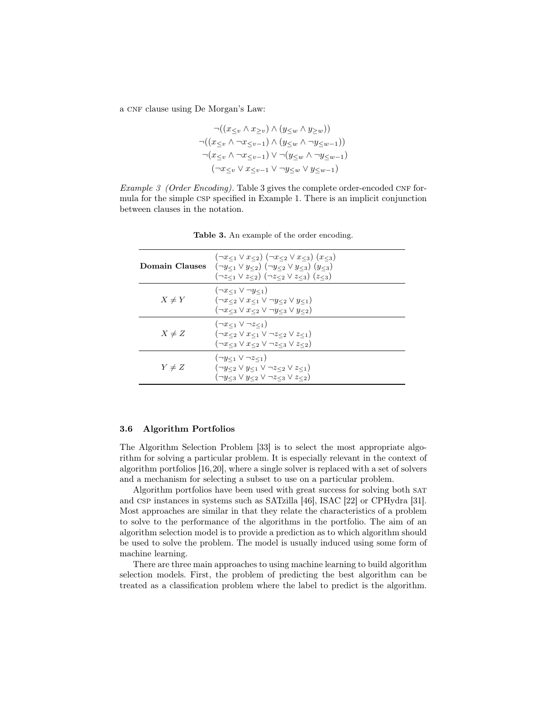a CNF clause using De Morgan's Law:

$$
\neg((x_{\leq v} \land x_{\geq v}) \land (y_{\leq w} \land y_{\geq w}))
$$

$$
\neg((x_{\leq v} \land \neg x_{\leq v-1}) \land (y_{\leq w} \land \neg y_{\leq w-1}))
$$

$$
\neg(x_{\leq v} \land \neg x_{\leq v-1}) \lor \neg(y_{\leq w} \land \neg y_{\leq w-1})
$$

$$
(\neg x_{\leq v} \lor x_{\leq v-1} \lor \neg y_{\leq w} \lor y_{\leq w-1})
$$

*Example [3](#page-8-0) (Order Encoding)*. Table 3 gives the complete order-encoded CNF formula for the simple csp specified in Example [1.](#page-6-1) There is an implicit conjunction between clauses in the notation.

<span id="page-8-0"></span>

|            | $(\neg x_{\leq 1} \lor x_{\leq 2})$ $(\neg x_{\leq 2} \lor x_{\leq 3})$ $(x_{\leq 3})$<br><b>Domain Clauses</b> $(\neg y_{\leq 1} \lor y_{\leq 2}) (\neg y_{\leq 2} \lor y_{\leq 3}) (y_{\leq 3})$<br>$(\neg z_{\leq 1} \vee z_{\leq 2}) (\neg z_{\leq 2} \vee z_{\leq 3}) (z_{\leq 3})$ |
|------------|------------------------------------------------------------------------------------------------------------------------------------------------------------------------------------------------------------------------------------------------------------------------------------------|
| $X \neq Y$ | $(\neg x_{\leq 1} \lor \neg y_{\leq 1})$<br>$(\neg x_{\leq 2} \lor x_{\leq 1} \lor \neg y_{\leq 2} \lor y_{\leq 1})$<br>$(\neg x_{\leq 3} \lor x_{\leq 2} \lor \neg y_{\leq 3} \lor y_{\leq 2})$                                                                                         |
| $X \neq Z$ | $(\neg x_{\leq 1} \lor \neg z_{\leq 1})$<br>$(\neg x_{\leq 2} \vee x_{\leq 1} \vee \neg z_{\leq 2} \vee z_{\leq 1})$<br>$(\neg x_{\leq 3} \lor x_{\leq 2} \lor \neg z_{\leq 3} \lor z_{\leq 2})$                                                                                         |
| $Y \neq Z$ | $(\neg y_{\leq 1} \vee \neg z_{\leq 1})$<br>$(\neg y_{\leq 2} \vee y_{\leq 1} \vee \neg z_{\leq 2} \vee z_{\leq 1})$<br>$(\neg y_{\leq 3} \lor y_{\leq 2} \lor \neg z_{\leq 3} \lor z_{\leq 2})$                                                                                         |

Table 3. An example of the order encoding.

## 3.6 Algorithm Portfolios

The Algorithm Selection Problem [\[33\]](#page-16-8) is to select the most appropriate algorithm for solving a particular problem. It is especially relevant in the context of algorithm portfolios [\[16,](#page-15-4)[20\]](#page-15-5), where a single solver is replaced with a set of solvers and a mechanism for selecting a subset to use on a particular problem.

Algorithm portfolios have been used with great success for solving both sat and csp instances in systems such as SATzilla [\[46\]](#page-16-5), ISAC [\[22\]](#page-15-0) or CPHydra [\[31\]](#page-16-4). Most approaches are similar in that they relate the characteristics of a problem to solve to the performance of the algorithms in the portfolio. The aim of an algorithm selection model is to provide a prediction as to which algorithm should be used to solve the problem. The model is usually induced using some form of machine learning.

There are three main approaches to using machine learning to build algorithm selection models. First, the problem of predicting the best algorithm can be treated as a classification problem where the label to predict is the algorithm.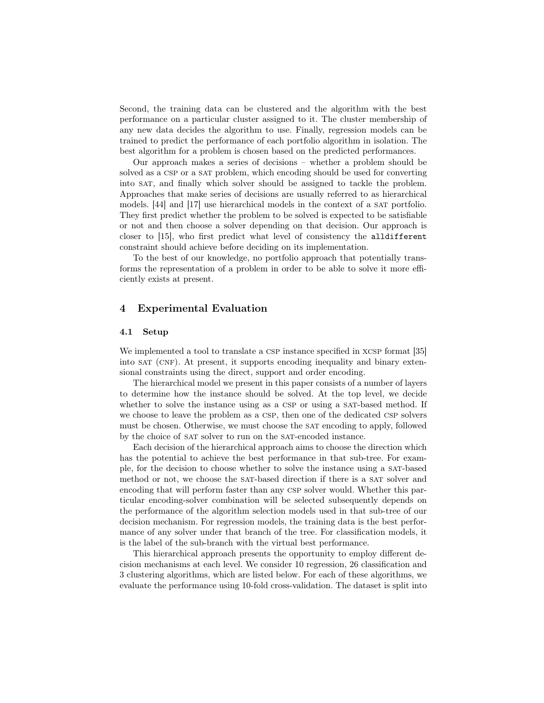Second, the training data can be clustered and the algorithm with the best performance on a particular cluster assigned to it. The cluster membership of any new data decides the algorithm to use. Finally, regression models can be trained to predict the performance of each portfolio algorithm in isolation. The best algorithm for a problem is chosen based on the predicted performances.

Our approach makes a series of decisions – whether a problem should be solved as a csp or a sat problem, which encoding should be used for converting into SAT, and finally which solver should be assigned to tackle the problem. Approaches that make series of decisions are usually referred to as hierarchical models. [\[44\]](#page-16-9) and [\[17\]](#page-15-6) use hierarchical models in the context of a sat portfolio. They first predict whether the problem to be solved is expected to be satisfiable or not and then choose a solver depending on that decision. Our approach is closer to [\[15\]](#page-15-7), who first predict what level of consistency the alldifferent constraint should achieve before deciding on its implementation.

To the best of our knowledge, no portfolio approach that potentially transforms the representation of a problem in order to be able to solve it more efficiently exists at present.

## <span id="page-9-0"></span>4 Experimental Evaluation

#### 4.1 Setup

We implemented a tool to translate a CSP instance specified in XCSP format [\[35\]](#page-16-10) into sat (CNF). At present, it supports encoding inequality and binary extensional constraints using the direct, support and order encoding.

The hierarchical model we present in this paper consists of a number of layers to determine how the instance should be solved. At the top level, we decide whether to solve the instance using as a CSP or using a SAT-based method. If we choose to leave the problem as a CSP, then one of the dedicated CSP solvers must be chosen. Otherwise, we must choose the sat encoding to apply, followed by the choice of SAT solver to run on the SAT-encoded instance.

Each decision of the hierarchical approach aims to choose the direction which has the potential to achieve the best performance in that sub-tree. For example, for the decision to choose whether to solve the instance using a sat-based method or not, we choose the SAT-based direction if there is a SAT solver and encoding that will perform faster than any csp solver would. Whether this particular encoding-solver combination will be selected subsequently depends on the performance of the algorithm selection models used in that sub-tree of our decision mechanism. For regression models, the training data is the best performance of any solver under that branch of the tree. For classification models, it is the label of the sub-branch with the virtual best performance.

This hierarchical approach presents the opportunity to employ different decision mechanisms at each level. We consider 10 regression, 26 classification and 3 clustering algorithms, which are listed below. For each of these algorithms, we evaluate the performance using 10-fold cross-validation. The dataset is split into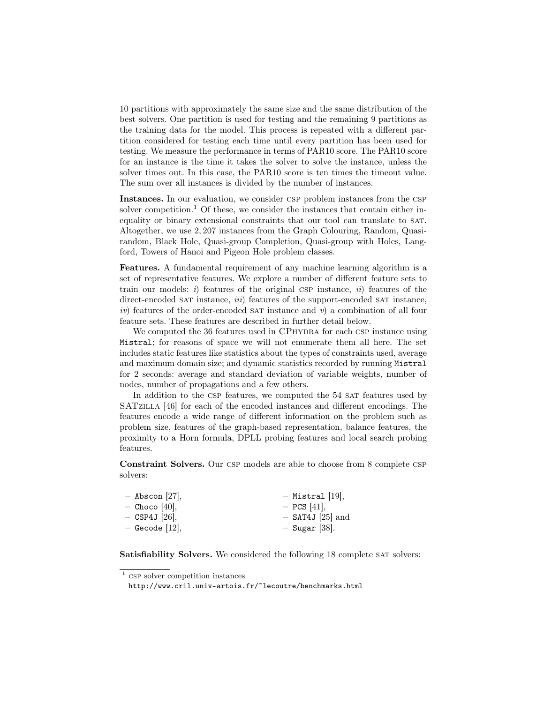10 partitions with approximately the same size and the same distribution of the best solvers. One partition is used for testing and the remaining 9 partitions as the training data for the model. This process is repeated with a different partition considered for testing each time until every partition has been used for testing. We measure the performance in terms of PAR10 score. The PAR10 score for an instance is the time it takes the solver to solve the instance, unless the solver times out. In this case, the PAR10 score is ten times the timeout value. The sum over all instances is divided by the number of instances.

Instances. In our evaluation, we consider csp problem instances from the csp solver competition.<sup>[1](#page-10-0)</sup> Of these, we consider the instances that contain either inequality or binary extensional constraints that our tool can translate to sat. Altogether, we use 2, 207 instances from the Graph Colouring, Random, Quasirandom, Black Hole, Quasi-group Completion, Quasi-group with Holes, Langford, Towers of Hanoi and Pigeon Hole problem classes.

Features. A fundamental requirement of any machine learning algorithm is a set of representative features. We explore a number of different feature sets to train our models: i) features of the original CSP instance, ii) features of the direct-encoded sat instance, *iii*) features of the support-encoded sat instance, iv) features of the order-encoded sate instance and v) a combination of all four feature sets. These features are described in further detail below.

We computed the 36 features used in CPHYDRA for each CSP instance using Mistral; for reasons of space we will not enumerate them all here. The set includes static features like statistics about the types of constraints used, average and maximum domain size; and dynamic statistics recorded by running Mistral for 2 seconds: average and standard deviation of variable weights, number of nodes, number of propagations and a few others.

In addition to the CSP features, we computed the 54 SAT features used by SATzilla [\[46\]](#page-16-5) for each of the encoded instances and different encodings. The features encode a wide range of different information on the problem such as problem size, features of the graph-based representation, balance features, the proximity to a Horn formula, DPLL probing features and local search probing features.

Constraint Solvers. Our csp models are able to choose from 8 complete csp solvers:

| $-$ Abscon [27], | $-$ Mistral $ 19 $ , |
|------------------|----------------------|
| $-$ Choco [40],  | $-$ PCS [41],        |
| $-$ CSP4J [26],  | $-$ SAT4J [25] and   |
| $-$ Gecode [12], | $-$ Sugar [38].      |

Satisfiability Solvers. We considered the following 18 complete SAT solvers:

<span id="page-10-0"></span> $1$  csp solver competition instances

<http://www.cril.univ-artois.fr/~lecoutre/benchmarks.html>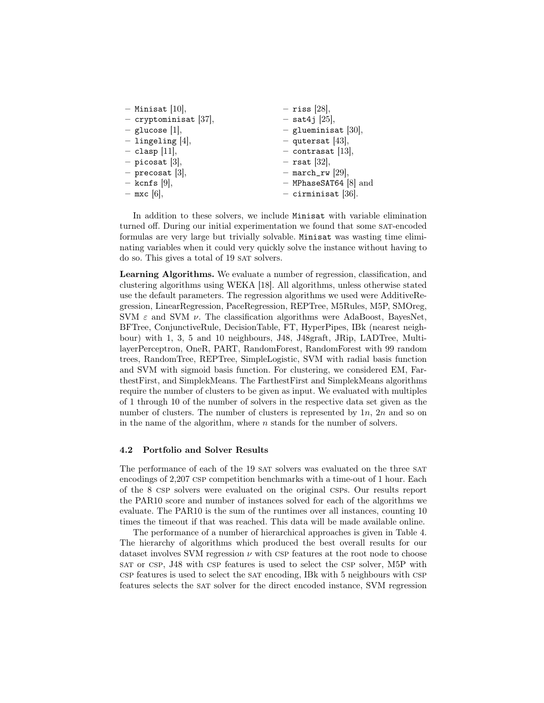| $-$ Minisat [10],       | $-$ riss [28],         |
|-------------------------|------------------------|
| $-$ cryptominisat [37], | $-$ sat4j [25],        |
| $-$ glucose [1],        | - glueminisat $[30]$ , |
| $-$ lingeling [4],      | $-$ qutersat [43],     |
| $-$ clasp [11],         | $-$ contrasat [13],    |
| $-$ picosat [3],        | $-$ rsat [32],         |
| $-$ precosat [3],       | $-$ march_rw [29],     |
| $-$ kcnfs [9],          | - MPhaseSAT64 [8] and  |
| $-$ mxc $ 6 $ ,         | $-$ cirminisat [36].   |

In addition to these solvers, we include Minisat with variable elimination turned off. During our initial experimentation we found that some sat-encoded formulas are very large but trivially solvable. Minisat was wasting time eliminating variables when it could very quickly solve the instance without having to do so. This gives a total of 19 sat solvers.

Learning Algorithms. We evaluate a number of regression, classification, and clustering algorithms using WEKA [\[18\]](#page-15-19). All algorithms, unless otherwise stated use the default parameters. The regression algorithms we used were AdditiveRegression, LinearRegression, PaceRegression, REPTree, M5Rules, M5P, SMOreg, SVM  $\varepsilon$  and SVM  $\nu$ . The classification algorithms were AdaBoost, BayesNet, BFTree, ConjunctiveRule, DecisionTable, FT, HyperPipes, IBk (nearest neighbour) with 1, 3, 5 and 10 neighbours, J48, J48graft, JRip, LADTree, MultilayerPerceptron, OneR, PART, RandomForest, RandomForest with 99 random trees, RandomTree, REPTree, SimpleLogistic, SVM with radial basis function and SVM with sigmoid basis function. For clustering, we considered EM, FarthestFirst, and SimplekMeans. The FarthestFirst and SimplekMeans algorithms require the number of clusters to be given as input. We evaluated with multiples of 1 through 10 of the number of solvers in the respective data set given as the number of clusters. The number of clusters is represented by  $1n$ ,  $2n$  and so on in the name of the algorithm, where  $n$  stands for the number of solvers.

## 4.2 Portfolio and Solver Results

The performance of each of the 19 sat solvers was evaluated on the three sat encodings of 2,207 CSP competition benchmarks with a time-out of 1 hour. Each of the 8 csp solvers were evaluated on the original csps. Our results report the PAR10 score and number of instances solved for each of the algorithms we evaluate. The PAR10 is the sum of the runtimes over all instances, counting 10 times the timeout if that was reached. This data will be made available online.

The performance of a number of hierarchical approaches is given in Table [4.](#page-12-0) The hierarchy of algorithms which produced the best overall results for our dataset involves SVM regression  $\nu$  with CSP features at the root node to choose sat or csp, J48 with csp features is used to select the csp solver, M5P with csp features is used to select the sat encoding, IBk with 5 neighbours with csp features selects the sat solver for the direct encoded instance, SVM regression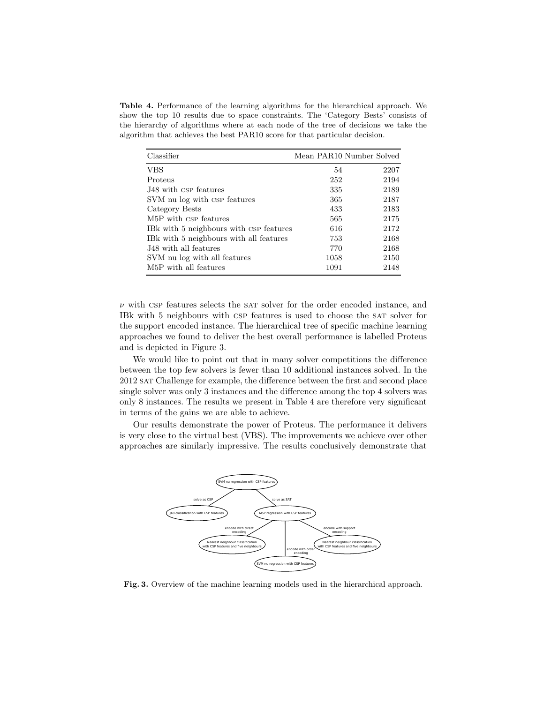<span id="page-12-0"></span>Table 4. Performance of the learning algorithms for the hierarchical approach. We show the top 10 results due to space constraints. The 'Category Bests' consists of the hierarchy of algorithms where at each node of the tree of decisions we take the algorithm that achieves the best PAR10 score for that particular decision.

| Classifier                              |      | Mean PAR10 Number Solved |
|-----------------------------------------|------|--------------------------|
| <b>VBS</b>                              | 54   | 2207                     |
| Proteus                                 | 252  | 2194                     |
| J48 with CSP features                   | 335  | 2189                     |
| SVM nu log with CSP features            | 365  | 2187                     |
| Category Bests                          | 433  | 2183                     |
| M <sub>5</sub> P with CSP features      | 565  | 2175                     |
| IBk with 5 neighbours with CSP features | 616  | 2172                     |
| IBk with 5 neighbours with all features | 753  | 2168                     |
| J48 with all features                   | 770  | 2168                     |
| SVM nu log with all features            | 1058 | 2150                     |
| M <sub>5</sub> P with all features      | 1091 | 2148                     |

 $\nu$  with CSP features selects the SAT solver for the order encoded instance, and IBk with 5 neighbours with csp features is used to choose the sat solver for the support encoded instance. The hierarchical tree of specific machine learning approaches we found to deliver the best overall performance is labelled Proteus and is depicted in Figure [3.](#page-12-1)

We would like to point out that in many solver competitions the difference between the top few solvers is fewer than 10 additional instances solved. In the 2012 sat Challenge for example, the difference between the first and second place single solver was only 3 instances and the difference among the top 4 solvers was only 8 instances. The results we present in Table [4](#page-12-0) are therefore very significant in terms of the gains we are able to achieve.

Our results demonstrate the power of Proteus. The performance it delivers is very close to the virtual best (VBS). The improvements we achieve over other approaches are similarly impressive. The results conclusively demonstrate that

<span id="page-12-1"></span>

Fig. 3. Overview of the machine learning models used in the hierarchical approach.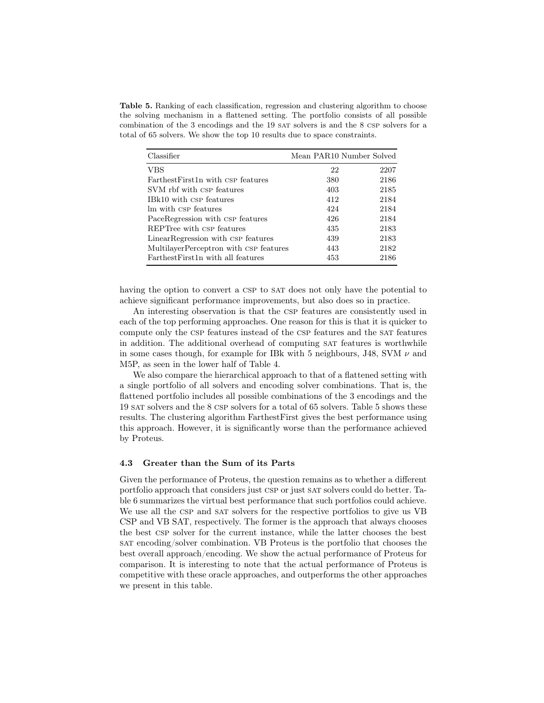<span id="page-13-0"></span>Table 5. Ranking of each classification, regression and clustering algorithm to choose the solving mechanism in a flattened setting. The portfolio consists of all possible combination of the 3 encodings and the 19 sat solvers is and the 8 csp solvers for a total of 65 solvers. We show the top 10 results due to space constraints.

| Classifier                             |     | Mean PAR10 Number Solved |
|----------------------------------------|-----|--------------------------|
| VBS                                    | 22  | 2207                     |
| Farthest First 1n with CSP features    | 380 | 2186                     |
| SVM rbf with CSP features              | 403 | 2185                     |
| IBk10 with CSP features                | 412 | 2184                     |
| lm with CSP features                   | 424 | 2184                     |
| PaceRegression with CSP features       | 426 | 2184                     |
| REPTree with CSP features              | 435 | 2183                     |
| LinearRegression with CSP features     | 439 | 2183                     |
| MultilayerPerceptron with CSP features | 443 | 2182                     |
| FarthestFirst1n with all features      | 453 | 2186                     |

having the option to convert a CSP to SAT does not only have the potential to achieve significant performance improvements, but also does so in practice.

An interesting observation is that the csp features are consistently used in each of the top performing approaches. One reason for this is that it is quicker to compute only the csp features instead of the csp features and the sat features in addition. The additional overhead of computing sat features is worthwhile in some cases though, for example for IBk with 5 neighbours, J48, SVM  $\nu$  and M5P, as seen in the lower half of Table [4.](#page-12-0)

We also compare the hierarchical approach to that of a flattened setting with a single portfolio of all solvers and encoding solver combinations. That is, the flattened portfolio includes all possible combinations of the 3 encodings and the 19 sat solvers and the 8 csp solvers for a total of 65 solvers. Table [5](#page-13-0) shows these results. The clustering algorithm FarthestFirst gives the best performance using this approach. However, it is significantly worse than the performance achieved by Proteus.

## 4.3 Greater than the Sum of its Parts

Given the performance of Proteus, the question remains as to whether a different portfolio approach that considers just csp or just sat solvers could do better. Table [6](#page-14-1) summarizes the virtual best performance that such portfolios could achieve. We use all the CSP and SAT solvers for the respective portfolios to give us VB CSP and VB SAT, respectively. The former is the approach that always chooses the best csp solver for the current instance, while the latter chooses the best sat encoding/solver combination. VB Proteus is the portfolio that chooses the best overall approach/encoding. We show the actual performance of Proteus for comparison. It is interesting to note that the actual performance of Proteus is competitive with these oracle approaches, and outperforms the other approaches we present in this table.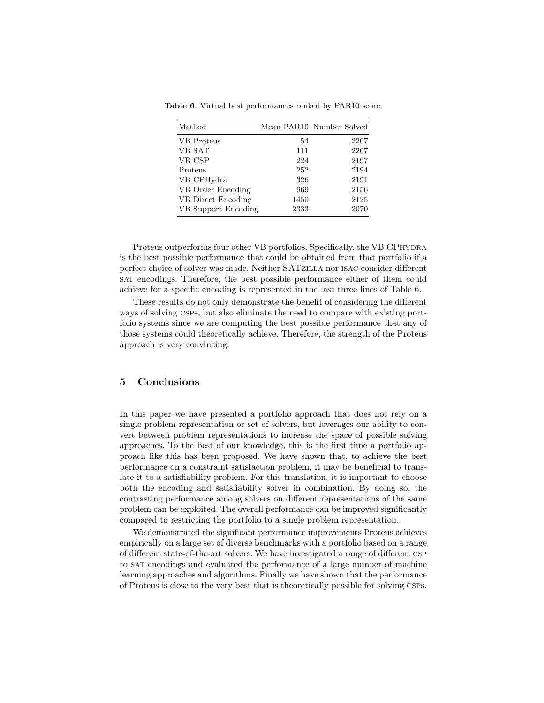| Method              |      | Mean PAR10 Number Solved |
|---------------------|------|--------------------------|
| VB Proteus          | 54   | 2207                     |
| VB SAT              | 111  | 2207                     |
| VB CSP              | 224  | 2197                     |
| Proteus             | 252  | 2194                     |
| VB CPHydra          | 326  | 2191                     |
| VB Order Encoding   | 969  | 2156                     |
| VB Direct Encoding  | 1450 | 2125                     |
| VB Support Encoding | 2333 | 2070                     |

<span id="page-14-1"></span>Table 6. Virtual best performances ranked by PAR10 score.

Proteus outperforms four other VB portfolios. Specifically, the VB CPHYDRA is the best possible performance that could be obtained from that portfolio if a perfect choice of solver was made. Neither SATzilla nor isac consider different sat encodings. Therefore, the best possible performance either of them could achieve for a specific encoding is represented in the last three lines of Table [6.](#page-14-1)

These results do not only demonstrate the benefit of considering the different ways of solving CSPs, but also eliminate the need to compare with existing portfolio systems since we are computing the best possible performance that any of those systems could theoretically achieve. Therefore, the strength of the Proteus approach is very convincing.

## <span id="page-14-0"></span>5 Conclusions

In this paper we have presented a portfolio approach that does not rely on a single problem representation or set of solvers, but leverages our ability to convert between problem representations to increase the space of possible solving approaches. To the best of our knowledge, this is the first time a portfolio approach like this has been proposed. We have shown that, to achieve the best performance on a constraint satisfaction problem, it may be beneficial to translate it to a satisfiability problem. For this translation, it is important to choose both the encoding and satisfiability solver in combination. By doing so, the contrasting performance among solvers on different representations of the same problem can be exploited. The overall performance can be improved significantly compared to restricting the portfolio to a single problem representation.

We demonstrated the significant performance improvements Proteus achieves empirically on a large set of diverse benchmarks with a portfolio based on a range of different state-of-the-art solvers. We have investigated a range of different csp to sat encodings and evaluated the performance of a large number of machine learning approaches and algorithms. Finally we have shown that the performance of Proteus is close to the very best that is theoretically possible for solving csps.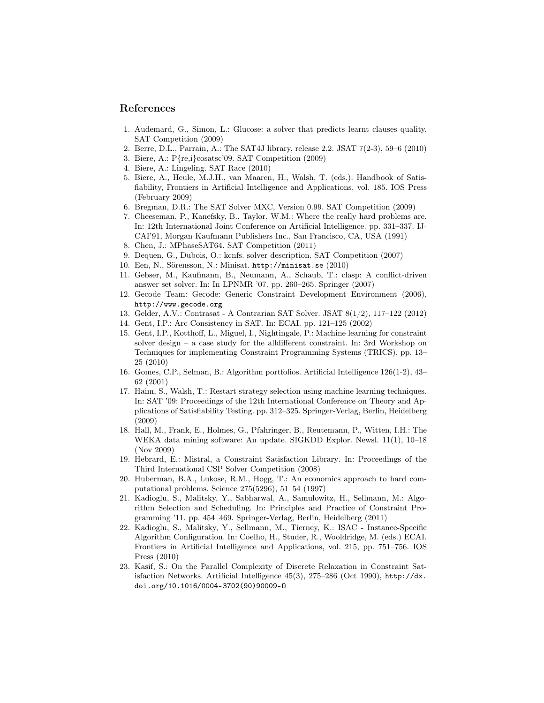# References

- <span id="page-15-11"></span>1. Audemard, G., Simon, L.: Glucose: a solver that predicts learnt clauses quality. SAT Competition (2009)
- 2. Berre, D.L., Parrain, A.: The SAT4J library, release 2.2. JSAT 7(2-3), 59–6 (2010)
- <span id="page-15-14"></span>3. Biere, A.: P{re,i}cosatsc'09. SAT Competition (2009)
- <span id="page-15-12"></span>4. Biere, A.: Lingeling. SAT Race (2010)
- <span id="page-15-1"></span>5. Biere, A., Heule, M.J.H., van Maaren, H., Walsh, T. (eds.): Handbook of Satisfiability, Frontiers in Artificial Intelligence and Applications, vol. 185. IOS Press (February 2009)
- <span id="page-15-16"></span>6. Bregman, D.R.: The SAT Solver MXC, Version 0.99. SAT Competition (2009)
- 7. Cheeseman, P., Kanefsky, B., Taylor, W.M.: Where the really hard problems are. In: 12th International Joint Conference on Artificial Intelligence. pp. 331–337. IJ-CAI'91, Morgan Kaufmann Publishers Inc., San Francisco, CA, USA (1991)
- <span id="page-15-18"></span>8. Chen, J.: MPhaseSAT64. SAT Competition (2011)
- <span id="page-15-15"></span>9. Dequen, G., Dubois, O.: kcnfs. solver description. SAT Competition (2007)
- <span id="page-15-10"></span>10. Een, N., Sörensson, N.: Minisat. <http://minisat.se> (2010)
- <span id="page-15-13"></span>11. Gebser, M., Kaufmann, B., Neumann, A., Schaub, T.: clasp: A conflict-driven answer set solver. In: In LPNMR '07. pp. 260–265. Springer (2007)
- <span id="page-15-8"></span>12. Gecode Team: Gecode: Generic Constraint Development Environment (2006), <http://www.gecode.org>
- <span id="page-15-17"></span>13. Gelder, A.V.: Contrasat - A Contrarian SAT Solver. JSAT 8(1/2), 117–122 (2012)
- <span id="page-15-2"></span>14. Gent, I.P.: Arc Consistency in SAT. In: ECAI. pp. 121–125 (2002)
- <span id="page-15-7"></span>15. Gent, I.P., Kotthoff, L., Miguel, I., Nightingale, P.: Machine learning for constraint solver design – a case study for the alldifferent constraint. In: 3rd Workshop on Techniques for implementing Constraint Programming Systems (TRICS). pp. 13– 25 (2010)
- <span id="page-15-4"></span>16. Gomes, C.P., Selman, B.: Algorithm portfolios. Artificial Intelligence 126(1-2), 43– 62 (2001)
- <span id="page-15-6"></span>17. Haim, S., Walsh, T.: Restart strategy selection using machine learning techniques. In: SAT '09: Proceedings of the 12th International Conference on Theory and Applications of Satisfiability Testing. pp. 312–325. Springer-Verlag, Berlin, Heidelberg (2009)
- <span id="page-15-19"></span>18. Hall, M., Frank, E., Holmes, G., Pfahringer, B., Reutemann, P., Witten, I.H.: The WEKA data mining software: An update. SIGKDD Explor. Newsl. 11(1), 10–18 (Nov 2009)
- <span id="page-15-9"></span>19. Hebrard, E.: Mistral, a Constraint Satisfaction Library. In: Proceedings of the Third International CSP Solver Competition (2008)
- <span id="page-15-5"></span>20. Huberman, B.A., Lukose, R.M., Hogg, T.: An economics approach to hard computational problems. Science 275(5296), 51–54 (1997)
- 21. Kadioglu, S., Malitsky, Y., Sabharwal, A., Samulowitz, H., Sellmann, M.: Algorithm Selection and Scheduling. In: Principles and Practice of Constraint Programming '11. pp. 454–469. Springer-Verlag, Berlin, Heidelberg (2011)
- <span id="page-15-0"></span>22. Kadioglu, S., Malitsky, Y., Sellmann, M., Tierney, K.: ISAC - Instance-Specific Algorithm Configuration. In: Coelho, H., Studer, R., Wooldridge, M. (eds.) ECAI. Frontiers in Artificial Intelligence and Applications, vol. 215, pp. 751–756. IOS Press (2010)
- <span id="page-15-3"></span>23. Kasif, S.: On the Parallel Complexity of Discrete Relaxation in Constraint Satisfaction Networks. Artificial Intelligence  $45(3)$ ,  $275-286$  (Oct 1990),  $http://dx.$ [doi.org/10.1016/0004-3702\(90\)90009-O](http://dx.doi.org/10.1016/0004-3702(90)90009-O)